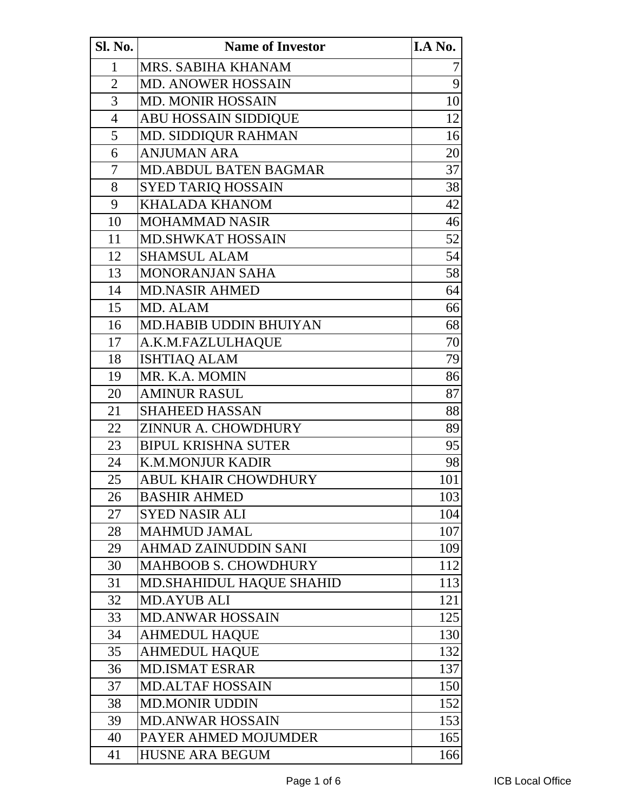| <b>Sl. No.</b> | <b>Name of Investor</b>       | I.A No. |
|----------------|-------------------------------|---------|
| 1              | MRS. SABIHA KHANAM            | 7       |
| $\sqrt{2}$     | <b>MD. ANOWER HOSSAIN</b>     | 9       |
| $\overline{3}$ | <b>MD. MONIR HOSSAIN</b>      | 10      |
| $\overline{4}$ | <b>ABU HOSSAIN SIDDIQUE</b>   | 12      |
| 5              | <b>MD. SIDDIQUR RAHMAN</b>    | 16      |
| 6              | <b>ANJUMAN ARA</b>            | 20      |
| $\overline{7}$ | MD.ABDUL BATEN BAGMAR         | 37      |
| 8              | <b>SYED TARIQ HOSSAIN</b>     | 38      |
| 9              | <b>KHALADA KHANOM</b>         | 42      |
| 10             | <b>MOHAMMAD NASIR</b>         | 46      |
| 11             | <b>MD.SHWKAT HOSSAIN</b>      | 52      |
| 12             | <b>SHAMSUL ALAM</b>           | 54      |
| 13             | <b>MONORANJAN SAHA</b>        | 58      |
| 14             | <b>MD.NASIR AHMED</b>         | 64      |
| 15             | MD. ALAM                      | 66      |
| 16             | <b>MD.HABIB UDDIN BHUIYAN</b> | 68      |
| 17             | A.K.M.FAZLULHAQUE             | 70      |
| 18             | <b>ISHTIAQ ALAM</b>           | 79      |
| 19             | MR. K.A. MOMIN                | 86      |
| 20             | <b>AMINUR RASUL</b>           | 87      |
| 21             | <b>SHAHEED HASSAN</b>         | 88      |
| 22             | ZINNUR A. CHOWDHURY           | 89      |
| 23             | <b>BIPUL KRISHNA SUTER</b>    | 95      |
| 24             | <b>K.M.MONJUR KADIR</b>       | 98      |
| 25             | <b>ABUL KHAIR CHOWDHURY</b>   | 101     |
| 26             | <b>BASHIR AHMED</b>           | 103     |
| 27             | <b>SYED NASIR ALI</b>         | 104     |
| 28             | <b>MAHMUD JAMAL</b>           | 107     |
| 29             | <b>AHMAD ZAINUDDIN SANI</b>   | 109     |
| 30             | <b>MAHBOOB S. CHOWDHURY</b>   | 112     |
| 31             | MD.SHAHIDUL HAQUE SHAHID      | 113     |
| 32             | <b>MD.AYUB ALI</b>            | 121     |
| 33             | <b>MD.ANWAR HOSSAIN</b>       | 125     |
| 34             | <b>AHMEDUL HAQUE</b>          | 130     |
| 35             | <b>AHMEDUL HAQUE</b>          | 132     |
| 36             | <b>MD.ISMAT ESRAR</b>         | 137     |
| 37             | <b>MD.ALTAF HOSSAIN</b>       | 150     |
| 38             | <b>MD.MONIR UDDIN</b>         | 152     |
| 39             | <b>MD.ANWAR HOSSAIN</b>       | 153     |
| 40             | PAYER AHMED MOJUMDER          | 165     |
| 41             | <b>HUSNE ARA BEGUM</b>        | 166     |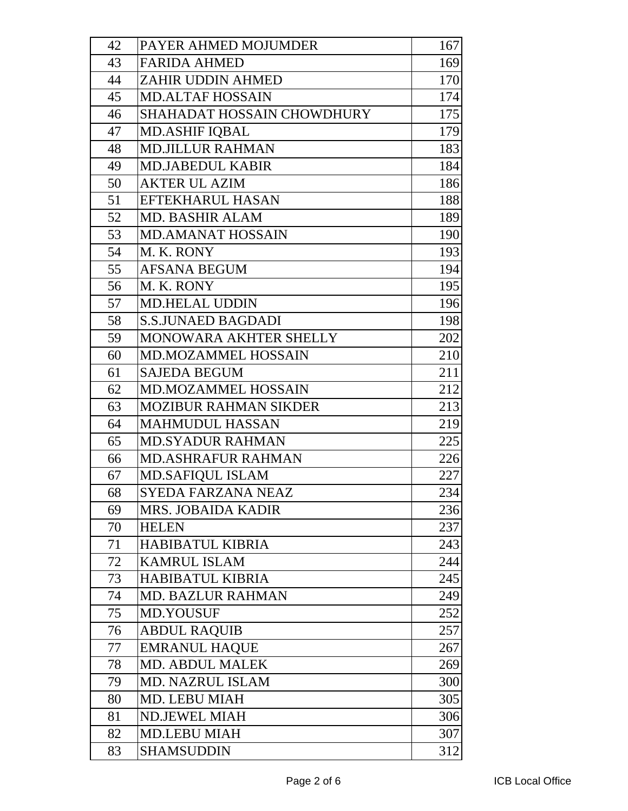| 42 | PAYER AHMED MOJUMDER              | 167 |
|----|-----------------------------------|-----|
| 43 | <b>FARIDA AHMED</b>               | 169 |
| 44 | <b>ZAHIR UDDIN AHMED</b>          | 170 |
| 45 | <b>MD.ALTAF HOSSAIN</b>           | 174 |
| 46 | <b>SHAHADAT HOSSAIN CHOWDHURY</b> | 175 |
| 47 | <b>MD.ASHIF IQBAL</b>             | 179 |
| 48 | <b>MD.JILLUR RAHMAN</b>           | 183 |
| 49 | <b>MD.JABEDUL KABIR</b>           | 184 |
| 50 | <b>AKTER UL AZIM</b>              | 186 |
| 51 | <b>EFTEKHARUL HASAN</b>           | 188 |
| 52 | <b>MD. BASHIR ALAM</b>            | 189 |
| 53 | <b>MD.AMANAT HOSSAIN</b>          | 190 |
| 54 | M. K. RONY                        | 193 |
| 55 | <b>AFSANA BEGUM</b>               | 194 |
| 56 | M. K. RONY                        | 195 |
| 57 | <b>MD.HELAL UDDIN</b>             | 196 |
| 58 | <b>S.S.JUNAED BAGDADI</b>         | 198 |
| 59 | MONOWARA AKHTER SHELLY            | 202 |
| 60 | MD.MOZAMMEL HOSSAIN               | 210 |
| 61 | <b>SAJEDA BEGUM</b>               | 211 |
| 62 | MD.MOZAMMEL HOSSAIN               | 212 |
| 63 | <b>MOZIBUR RAHMAN SIKDER</b>      | 213 |
| 64 | <b>MAHMUDUL HASSAN</b>            | 219 |
| 65 | <b>MD.SYADUR RAHMAN</b>           | 225 |
| 66 | <b>MD.ASHRAFUR RAHMAN</b>         | 226 |
| 67 | <b>MD.SAFIQUL ISLAM</b>           | 227 |
| 68 | SYEDA FARZANA NEAZ                | 234 |
| 69 | MRS. JOBAIDA KADIR                | 236 |
| 70 | <b>HELEN</b>                      | 237 |
| 71 | <b>HABIBATUL KIBRIA</b>           | 243 |
| 72 | <b>KAMRUL ISLAM</b>               | 244 |
| 73 | <b>HABIBATUL KIBRIA</b>           | 245 |
| 74 | <b>MD. BAZLUR RAHMAN</b>          | 249 |
| 75 | MD.YOUSUF                         | 252 |
| 76 | <b>ABDUL RAQUIB</b>               | 257 |
| 77 | <b>EMRANUL HAQUE</b>              | 267 |
| 78 | <b>MD. ABDUL MALEK</b>            | 269 |
| 79 | <b>MD. NAZRUL ISLAM</b>           | 300 |
| 80 | <b>MD. LEBU MIAH</b>              | 305 |
| 81 | <b>ND.JEWEL MIAH</b>              | 306 |
| 82 | <b>MD.LEBU MIAH</b>               | 307 |
| 83 | <b>SHAMSUDDIN</b>                 | 312 |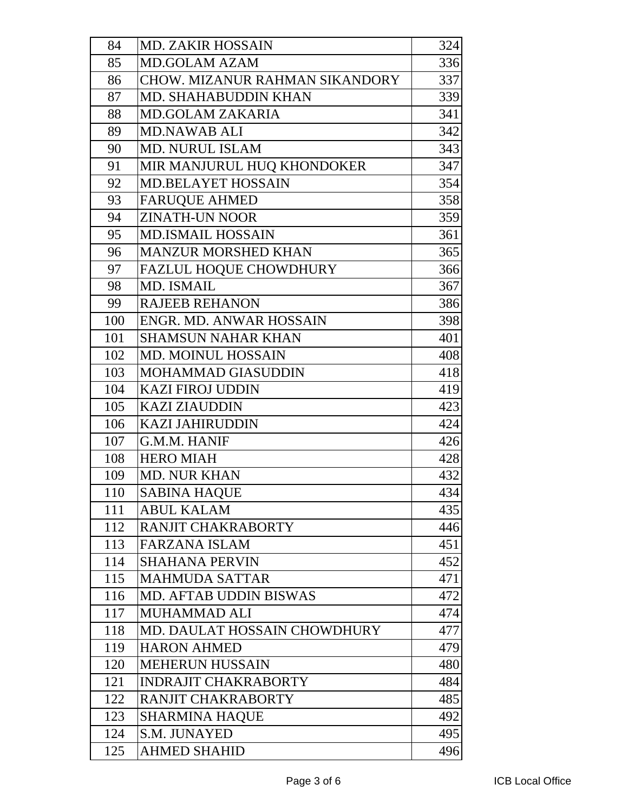| 84  | <b>MD. ZAKIR HOSSAIN</b>              | 324 |
|-----|---------------------------------------|-----|
| 85  | <b>MD.GOLAM AZAM</b>                  | 336 |
| 86  | <b>CHOW. MIZANUR RAHMAN SIKANDORY</b> | 337 |
| 87  | MD. SHAHABUDDIN KHAN                  | 339 |
| 88  | <b>MD.GOLAM ZAKARIA</b>               | 341 |
| 89  | <b>MD.NAWAB ALI</b>                   | 342 |
| 90  | <b>MD. NURUL ISLAM</b>                | 343 |
| 91  | MIR MANJURUL HUQ KHONDOKER            | 347 |
| 92  | <b>MD.BELAYET HOSSAIN</b>             | 354 |
| 93  | <b>FARUQUE AHMED</b>                  | 358 |
| 94  | <b>ZINATH-UN NOOR</b>                 | 359 |
| 95  | <b>MD.ISMAIL HOSSAIN</b>              | 361 |
| 96  | <b>MANZUR MORSHED KHAN</b>            | 365 |
| 97  | <b>FAZLUL HOOUE CHOWDHURY</b>         | 366 |
| 98  | <b>MD. ISMAIL</b>                     | 367 |
| 99  | <b>RAJEEB REHANON</b>                 | 386 |
| 100 | ENGR. MD. ANWAR HOSSAIN               | 398 |
| 101 | <b>SHAMSUN NAHAR KHAN</b>             | 401 |
| 102 | <b>MD. MOINUL HOSSAIN</b>             | 408 |
| 103 | <b>MOHAMMAD GIASUDDIN</b>             | 418 |
| 104 | <b>KAZI FIROJ UDDIN</b>               | 419 |
| 105 | <b>KAZI ZIAUDDIN</b>                  | 423 |
| 106 | <b>KAZI JAHIRUDDIN</b>                | 424 |
| 107 | G.M.M. HANJF                          | 426 |
| 108 | <b>HERO MIAH</b>                      | 428 |
| 109 | <b>MD. NUR KHAN</b>                   | 432 |
| 110 | <b>SABINA HAQUE</b>                   | 434 |
| 111 | <b>ABUL KALAM</b>                     | 435 |
| 112 | <b>RANJIT CHAKRABORTY</b>             | 446 |
| 113 | <b>FARZANA ISLAM</b>                  | 451 |
| 114 | <b>SHAHANA PERVIN</b>                 | 452 |
| 115 | <b>MAHMUDA SATTAR</b>                 | 471 |
| 116 | <b>MD. AFTAB UDDIN BISWAS</b>         | 472 |
| 117 | <b>MUHAMMAD ALI</b>                   | 474 |
| 118 | MD. DAULAT HOSSAIN CHOWDHURY          | 477 |
| 119 | <b>HARON AHMED</b>                    | 479 |
| 120 | <b>MEHERUN HUSSAIN</b>                | 480 |
| 121 | <b>INDRAJIT CHAKRABORTY</b>           | 484 |
| 122 | <b>RANJIT CHAKRABORTY</b>             | 485 |
| 123 | <b>SHARMINA HAQUE</b>                 | 492 |
| 124 | S.M. JUNAYED                          | 495 |
| 125 | <b>AHMED SHAHID</b>                   | 496 |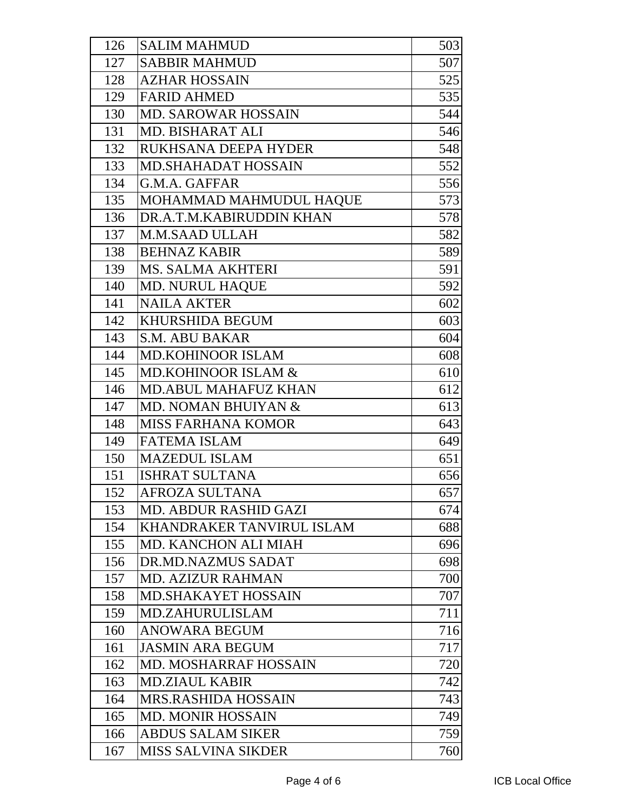| 126 | <b>SALIM MAHMUD</b>              | 503 |
|-----|----------------------------------|-----|
| 127 | <b>SABBIR MAHMUD</b>             | 507 |
| 128 | <b>AZHAR HOSSAIN</b>             | 525 |
| 129 | <b>FARID AHMED</b>               | 535 |
| 130 | <b>MD. SAROWAR HOSSAIN</b>       | 544 |
| 131 | MD. BISHARAT ALI                 | 546 |
| 132 | RUKHSANA DEEPA HYDER             | 548 |
| 133 | <b>MD.SHAHADAT HOSSAIN</b>       | 552 |
| 134 | G.M.A. GAFFAR                    | 556 |
| 135 | MOHAMMAD MAHMUDUL HAQUE          | 573 |
| 136 | DR.A.T.M.KABIRUDDIN KHAN         | 578 |
| 137 | <b>M.M.SAAD ULLAH</b>            | 582 |
| 138 | <b>BEHNAZ KABIR</b>              | 589 |
| 139 | <b>MS. SALMA AKHTERI</b>         | 591 |
| 140 | <b>MD. NURUL HAQUE</b>           | 592 |
| 141 | <b>NAILA AKTER</b>               | 602 |
| 142 | <b>KHURSHIDA BEGUM</b>           | 603 |
| 143 | <b>S.M. ABU BAKAR</b>            | 604 |
| 144 | <b>MD.KOHINOOR ISLAM</b>         | 608 |
| 145 | MD.KOHINOOR ISLAM &              | 610 |
| 146 | <b>MD.ABUL MAHAFUZ KHAN</b>      | 612 |
| 147 | MD. NOMAN BHUIYAN &              | 613 |
| 148 | <b>MISS FARHANA KOMOR</b>        | 643 |
| 149 | <b>FATEMA ISLAM</b>              | 649 |
| 150 | <b>MAZEDUL ISLAM</b>             | 651 |
| 151 | <b>ISHRAT SULTANA</b>            | 656 |
| 152 | AFROZA SULTANA                   | 657 |
| 153 | <b>MD. ABDUR RASHID GAZI</b>     | 674 |
| 154 | <b>KHANDRAKER TANVIRUL ISLAM</b> | 688 |
| 155 | MD. KANCHON ALI MIAH             | 696 |
| 156 | DR.MD.NAZMUS SADAT               | 698 |
| 157 | <b>MD. AZIZUR RAHMAN</b>         | 700 |
| 158 | <b>MD.SHAKAYET HOSSAIN</b>       | 707 |
| 159 | <b>MD.ZAHURULISLAM</b>           | 711 |
| 160 | <b>ANOWARA BEGUM</b>             | 716 |
| 161 | <b>JASMIN ARA BEGUM</b>          | 717 |
| 162 | <b>MD. MOSHARRAF HOSSAIN</b>     | 720 |
| 163 | <b>MD.ZIAUL KABIR</b>            | 742 |
| 164 | <b>MRS.RASHIDA HOSSAIN</b>       | 743 |
| 165 | <b>MD. MONIR HOSSAIN</b>         | 749 |
| 166 | <b>ABDUS SALAM SIKER</b>         | 759 |
| 167 | <b>MISS SALVINA SIKDER</b>       | 760 |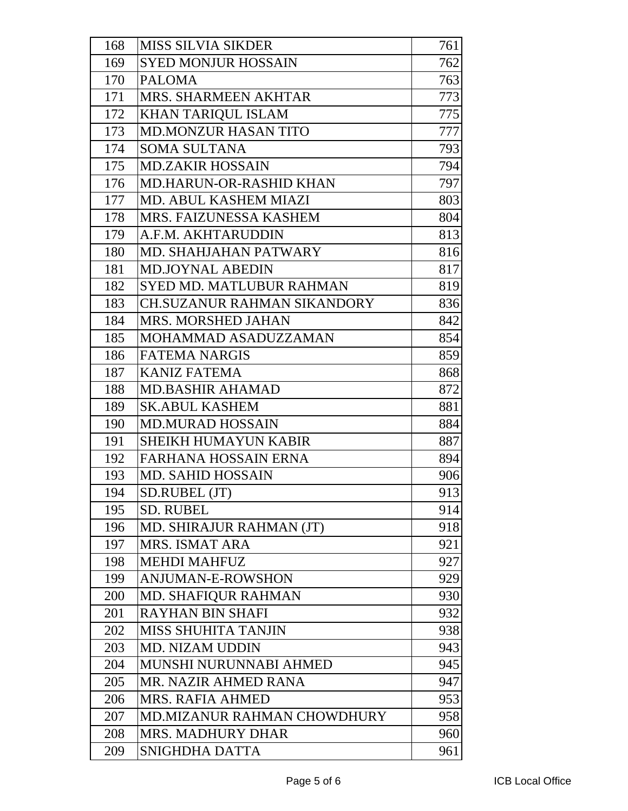| 168 | <b>MISS SILVIA SIKDER</b>          | 761 |
|-----|------------------------------------|-----|
| 169 | <b>SYED MONJUR HOSSAIN</b>         | 762 |
| 170 | <b>PALOMA</b>                      | 763 |
| 171 | <b>MRS. SHARMEEN AKHTAR</b>        | 773 |
| 172 | KHAN TARIQUL ISLAM                 | 775 |
| 173 | <b>MD.MONZUR HASAN TITO</b>        | 777 |
| 174 | <b>SOMA SULTANA</b>                | 793 |
| 175 | <b>MD.ZAKIR HOSSAIN</b>            | 794 |
| 176 | <b>MD.HARUN-OR-RASHID KHAN</b>     | 797 |
| 177 | MD. ABUL KASHEM MIAZI              | 803 |
| 178 | <b>MRS. FAIZUNESSA KASHEM</b>      | 804 |
| 179 | A.F.M. AKHTARUDDIN                 | 813 |
| 180 | <b>MD. SHAHJAHAN PATWARY</b>       | 816 |
| 181 | <b>MD.JOYNAL ABEDIN</b>            | 817 |
| 182 | <b>SYED MD. MATLUBUR RAHMAN</b>    | 819 |
| 183 | <b>CH.SUZANUR RAHMAN SIKANDORY</b> | 836 |
| 184 | <b>MRS. MORSHED JAHAN</b>          | 842 |
| 185 | MOHAMMAD ASADUZZAMAN               | 854 |
| 186 | <b>FATEMA NARGIS</b>               | 859 |
| 187 | <b>KANIZ FATEMA</b>                | 868 |
| 188 | <b>MD.BASHIR AHAMAD</b>            | 872 |
| 189 | <b>SK.ABUL KASHEM</b>              | 881 |
| 190 | <b>MD.MURAD HOSSAIN</b>            | 884 |
| 191 | <b>SHEIKH HUMAYUN KABIR</b>        | 887 |
| 192 | <b>FARHANA HOSSAIN ERNA</b>        | 894 |
| 193 | <b>MD. SAHID HOSSAIN</b>           | 906 |
| 194 | SD.RUBEL (JT)                      | 913 |
| 195 | <b>SD. RUBEL</b>                   | 914 |
| 196 | MD. SHIRAJUR RAHMAN (JT)           | 918 |
| 197 | <b>MRS. ISMAT ARA</b>              | 921 |
| 198 | <b>MEHDI MAHFUZ</b>                | 927 |
| 199 | <b>ANJUMAN-E-ROWSHON</b>           | 929 |
| 200 | <b>MD. SHAFIQUR RAHMAN</b>         | 930 |
| 201 | <b>RAYHAN BIN SHAFI</b>            | 932 |
| 202 | <b>MISS SHUHITA TANJIN</b>         | 938 |
| 203 | MD. NIZAM UDDIN                    | 943 |
| 204 | MUNSHI NURUNNABI AHMED             | 945 |
| 205 | MR. NAZIR AHMED RANA               | 947 |
| 206 | <b>MRS. RAFIA AHMED</b>            | 953 |
| 207 | MD.MIZANUR RAHMAN CHOWDHURY        | 958 |
| 208 | <b>MRS. MADHURY DHAR</b>           | 960 |
| 209 | SNIGHDHA DATTA                     | 961 |